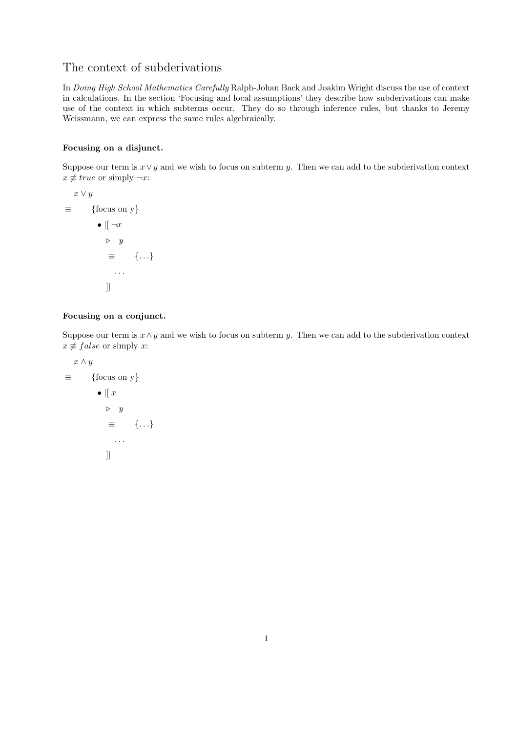## The context of subderivations

In Doing High School Mathematics Carefully Ralph-Johan Back and Joakim Wright discuss the use of context in calculations. In the section 'Focusing and local assumptions' they describe how subderivations can make use of the context in which subterms occur. They do so through inference rules, but thanks to Jeremy Weissmann, we can express the same rules algebraically.

## Focusing on a disjunct.

Suppose our term is  $x \vee y$  and we wish to focus on subterm y. Then we can add to the subderivation context  $x \not\equiv true$  or simply  $\neg x$ :

$$
x \lor y
$$
\n
$$
\equiv \qquad \{\text{focus on } y\}
$$
\n
$$
\bullet \mid [-x]
$$
\n
$$
\triangleright y
$$
\n
$$
\equiv \quad \{\dots\}
$$
\n
$$
\qquad \dots
$$
\n
$$
\qquad \qquad ]
$$

## Focusing on a conjunct.

Suppose our term is  $x \wedge y$  and we wish to focus on subterm y. Then we can add to the subderivation context  $x \not\equiv false$  or simply x:

$$
x \wedge y
$$
\n
$$
\equiv \qquad \{\text{focus on y}\}\
$$
\n
$$
\bullet \parallel x
$$
\n
$$
\triangleright y
$$
\n
$$
\equiv \qquad \{\ldots\}
$$
\n
$$
\qquad \qquad \blacksquare
$$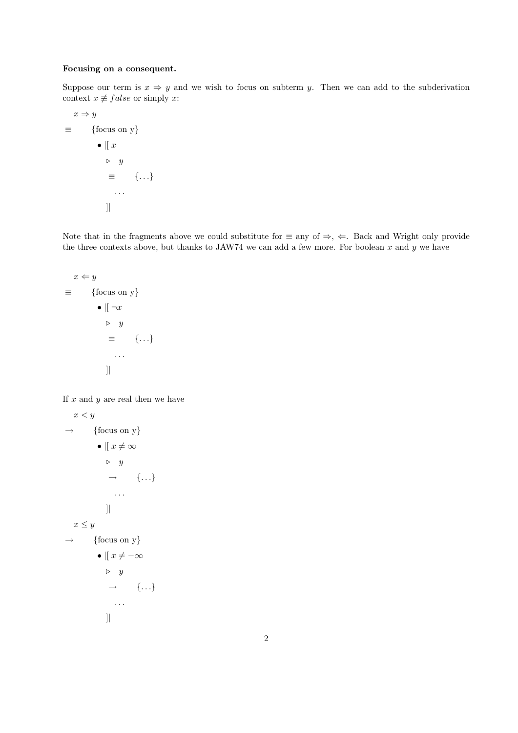## Focusing on a consequent.

Suppose our term is  $x \Rightarrow y$  and we wish to focus on subterm y. Then we can add to the subderivation context  $x \neq false$  or simply x:

 $x \Rightarrow y$  $\equiv$  {focus on y}  $\bullet$  |[ $x$ ]  $\triangleright$  y ≡ {. . .} . . . ]|

Note that in the fragments above we could substitute for  $\equiv$  any of  $\Rightarrow$ ,  $\Leftarrow$ . Back and Wright only provide the three contexts above, but thanks to JAW74 we can add a few more. For boolean  $x$  and  $y$  we have

$$
x \Leftarrow y
$$
  
\n
$$
\equiv \qquad \{\text{focus on y}\}\
$$
  
\n
$$
\bullet \mid \neg x
$$
  
\n
$$
\triangleright y
$$
  
\n
$$
\equiv \quad \{\dots\}
$$
  
\n
$$
\qquad \qquad \mid
$$
  
\n
$$
\qquad \qquad \dots
$$
  
\n
$$
\qquad \qquad \mid
$$

If  $x$  and  $y$  are real then we have

```
x < y\rightarrow {focus on y}
          • \parallel x \neq \infty\triangleright y
               \rightarrow \qquad \{ \ldots \}. . .
              ]|
x \leq y\rightarrow {focus on y}
          • \parallel x \neq -\infty\triangleright y
              \rightarrow {...}
                 . . .
             ]|
```